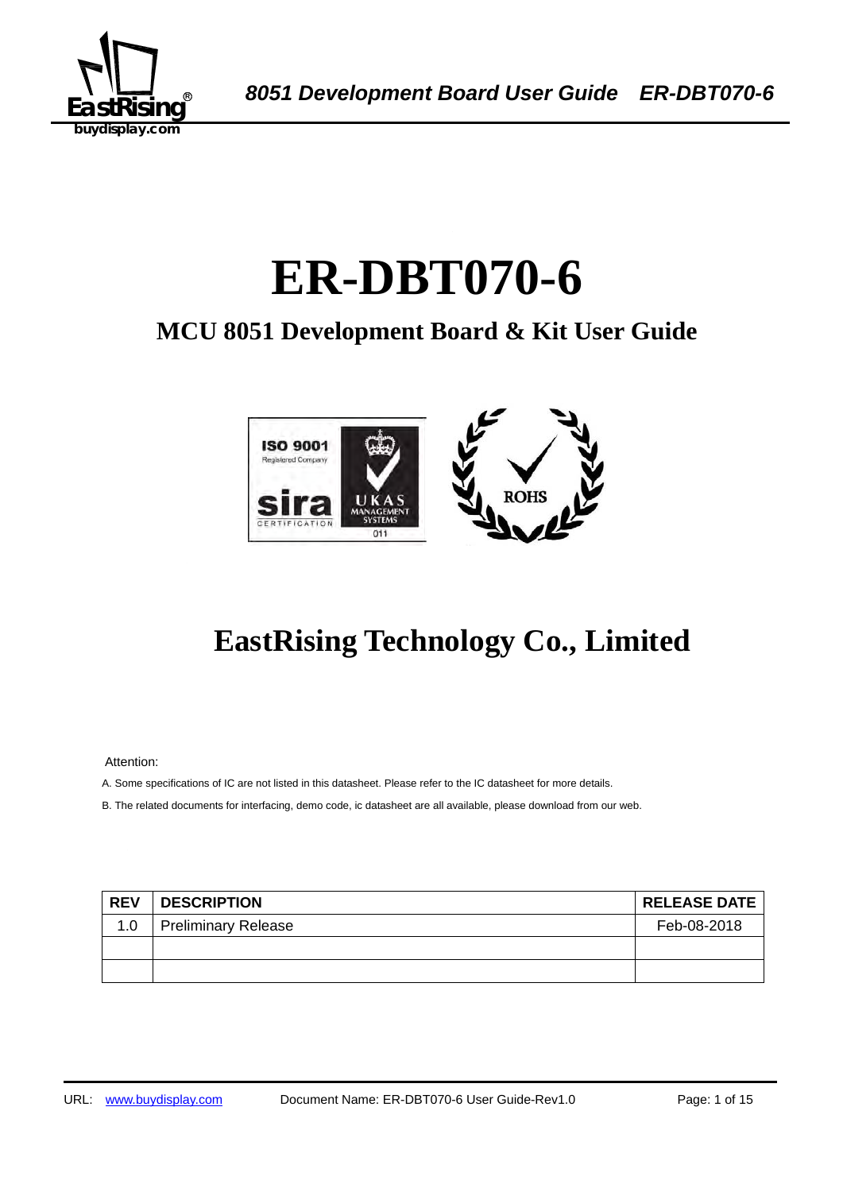

# 1B**ER-DBT070-6**

## **MCU 8051 Development Board & Kit User Guide**



## **EastRising Technology Co., Limited**

Attention:

A. Some specifications of IC are not listed in this datasheet. Please refer to the IC datasheet for more details.

B. The related documents for interfacing, demo code, ic datasheet are all available, please download from our web.

| <b>REV</b> | <b>DESCRIPTION</b>         | <b>RELEASE DATE</b> |
|------------|----------------------------|---------------------|
| 1.0        | <b>Preliminary Release</b> | Feb-08-2018         |
|            |                            |                     |
|            |                            |                     |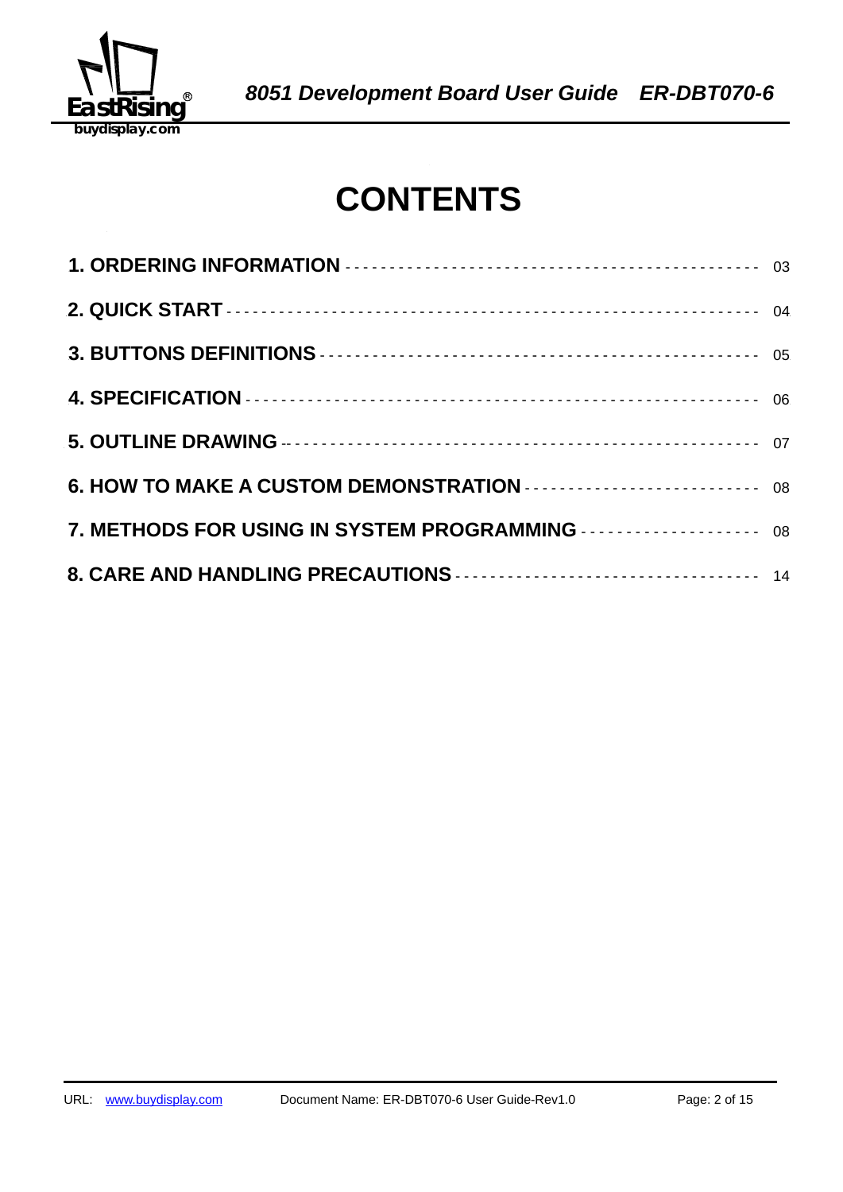

## **CONTENTS**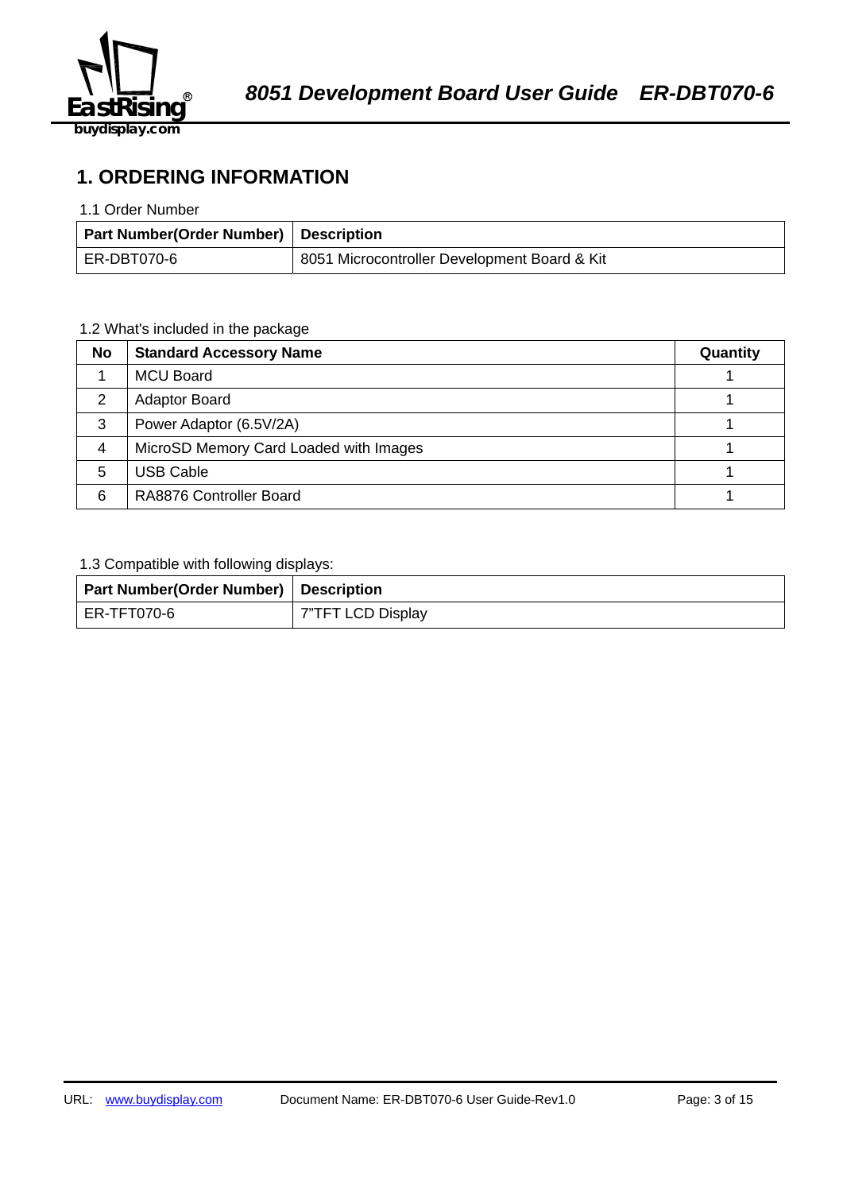

**1. ORDERING INFORMATION** 

#### 1.1 Order Number

| <b>Part Number(Order Number) Description</b> |                                              |
|----------------------------------------------|----------------------------------------------|
| ER-DBT070-6                                  | 8051 Microcontroller Development Board & Kit |

## 1.2 What's included in the package

| <b>No</b>      | <b>Standard Accessory Name</b>         | Quantity |
|----------------|----------------------------------------|----------|
|                | <b>MCU Board</b>                       |          |
| 2              | <b>Adaptor Board</b>                   |          |
| 3              | Power Adaptor (6.5V/2A)                |          |
| $\overline{4}$ | MicroSD Memory Card Loaded with Images |          |
| 5              | <b>USB Cable</b>                       |          |
| 6              | RA8876 Controller Board                |          |

#### 1.3 Compatible with following displays:

| <b>Part Number(Order Number) Description</b> |                   |
|----------------------------------------------|-------------------|
| ER-TFT070-6                                  | 7"TFT LCD Display |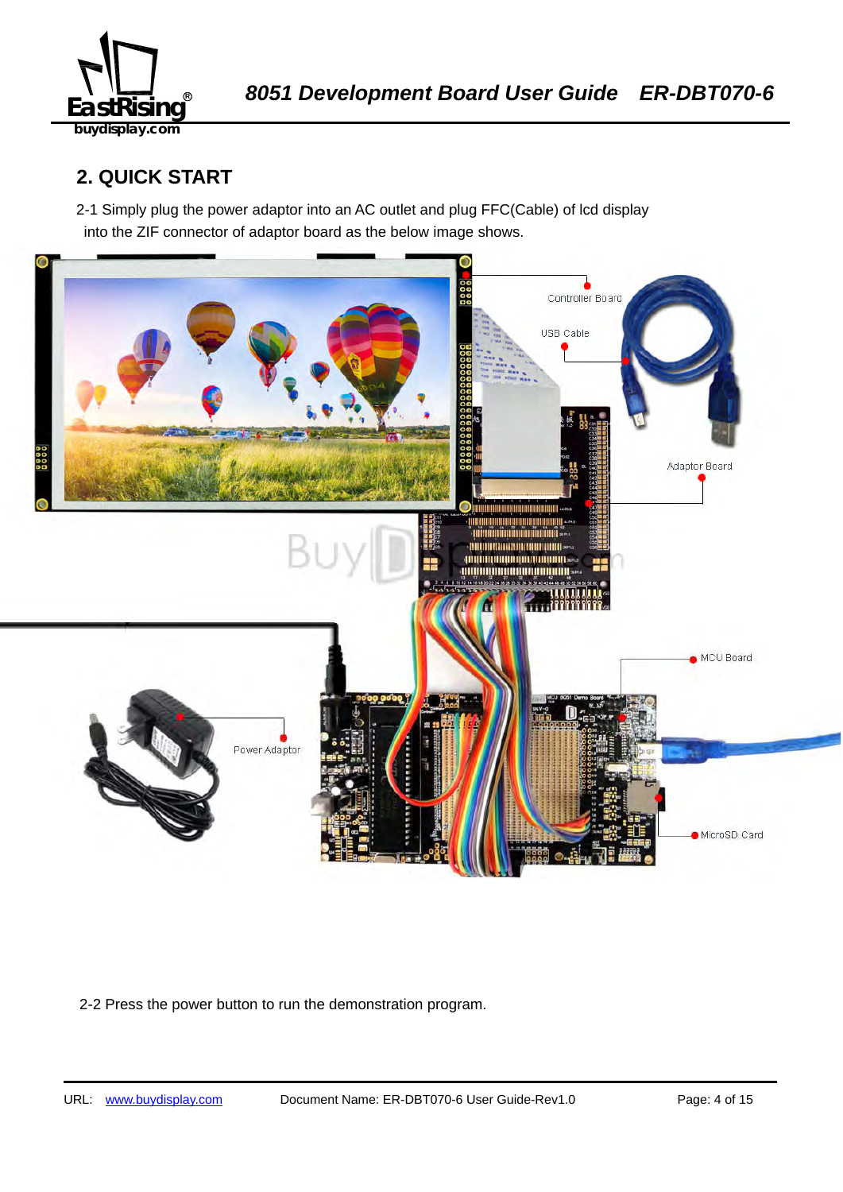

## **2. QUICK START**

2-1 Simply plug the power adaptor into an AC outlet and plug FFC(Cable) of lcd display into the ZIF connector of adaptor board as the below image shows.



2-2 Press the power button to run the demonstration program.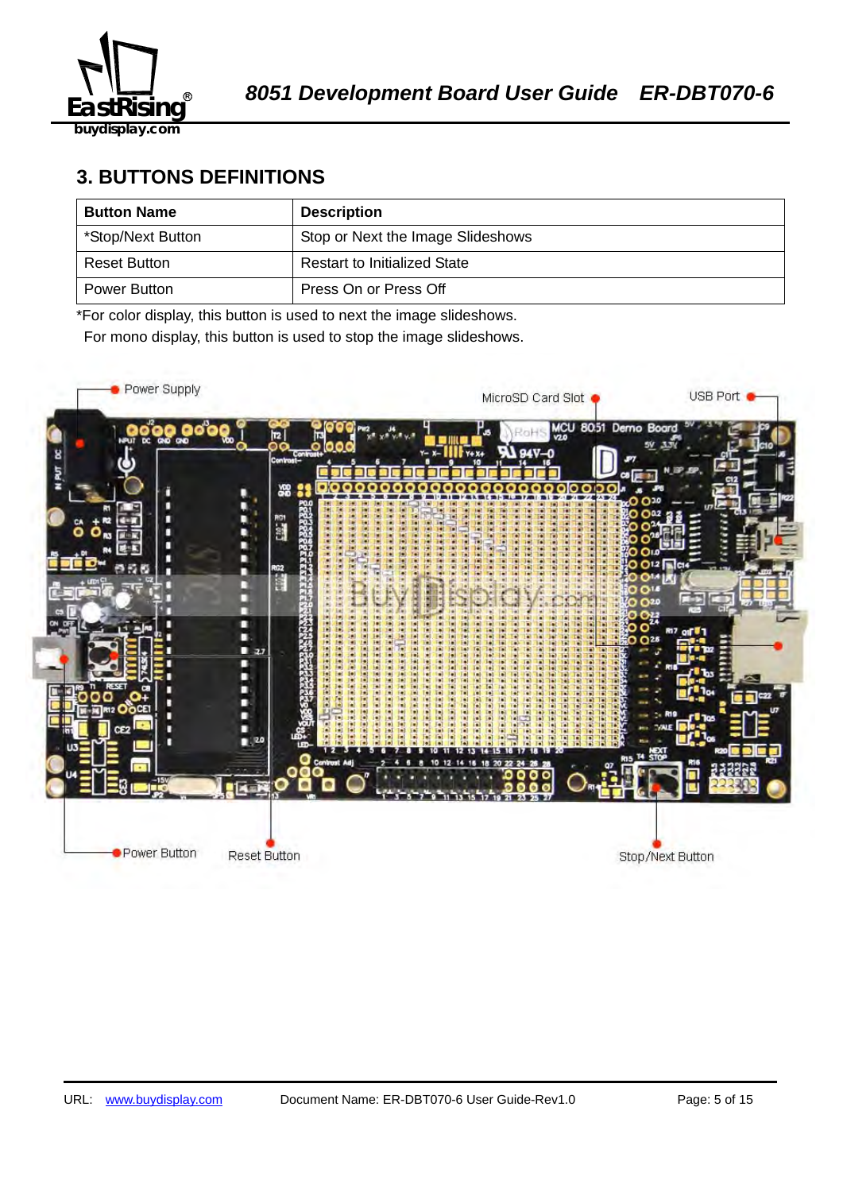

## **3. BUTTONS DEFINITIONS**

| <b>Button Name</b> | <b>Description</b>                  |
|--------------------|-------------------------------------|
| *Stop/Next Button  | Stop or Next the Image Slideshows   |
| Reset Button       | <b>Restart to Initialized State</b> |
| Power Button       | Press On or Press Off               |

\*For color display, this button is used to next the image slideshows.

For mono display, this button is used to stop the image slideshows.

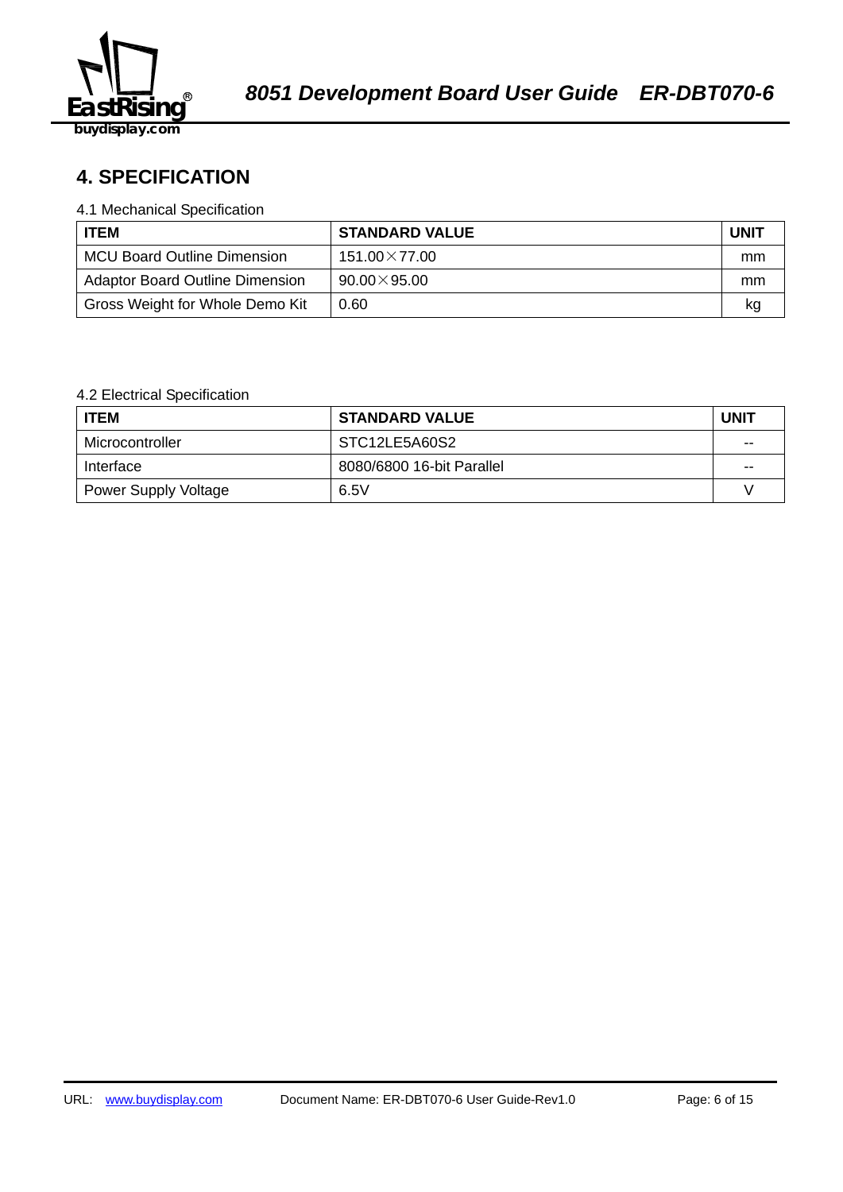

## 58B2140359**4. SPECIFICATION**

#### 4.1 Mechanical Specification

| <b>ITEM</b>                            | <b>STANDARD VALUE</b> | <b>UNIT</b> |
|----------------------------------------|-----------------------|-------------|
| <b>MCU Board Outline Dimension</b>     | $151.00\times77.00$   | mm          |
| <b>Adaptor Board Outline Dimension</b> | $90.00 \times 95.00$  | mm          |
| Gross Weight for Whole Demo Kit        | 0.60                  | kq          |

## 4.2 Electrical Specification

| <b>ITEM</b>                 | <b>STANDARD VALUE</b>     | <b>UNIT</b> |
|-----------------------------|---------------------------|-------------|
| Microcontroller             | STC12LE5A60S2             | $-$         |
| Interface                   | 8080/6800 16-bit Parallel | $- -$       |
| <b>Power Supply Voltage</b> | 6.5V                      |             |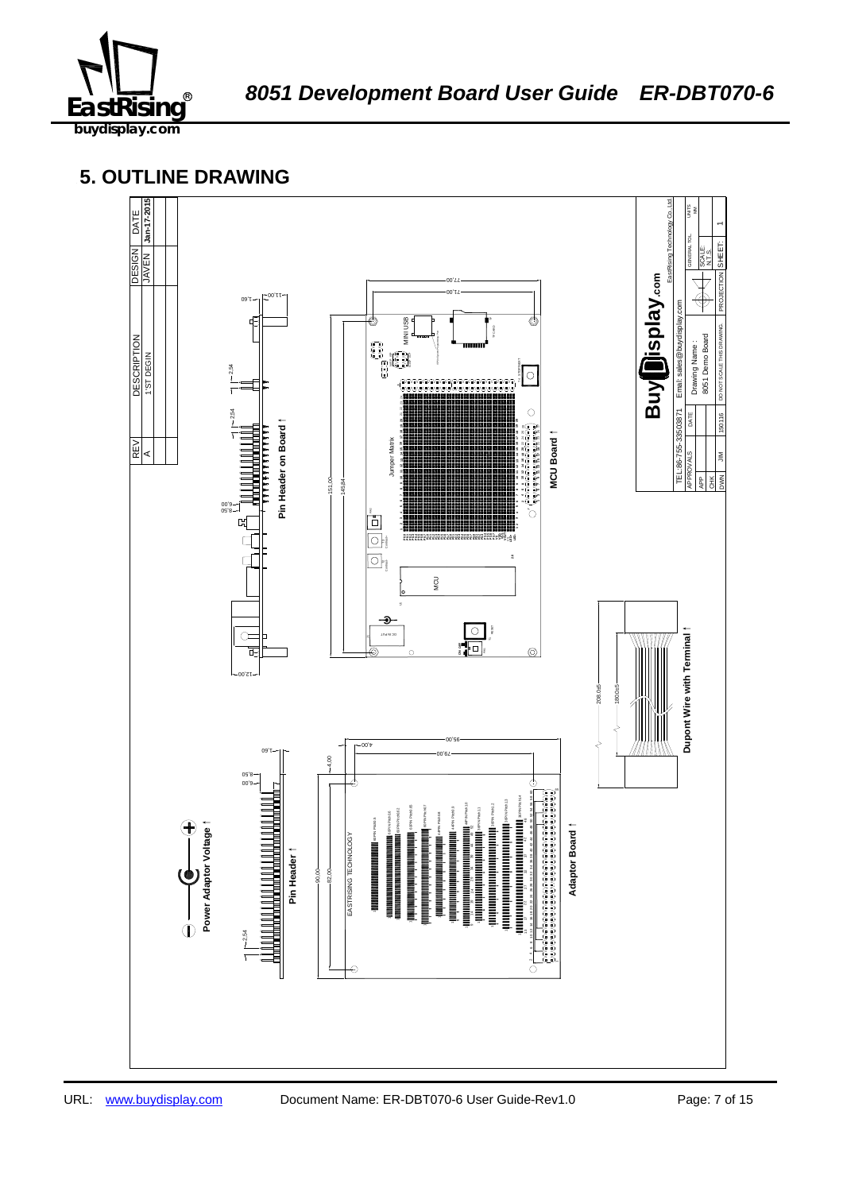

## **5. OUTLINE DRAWING**

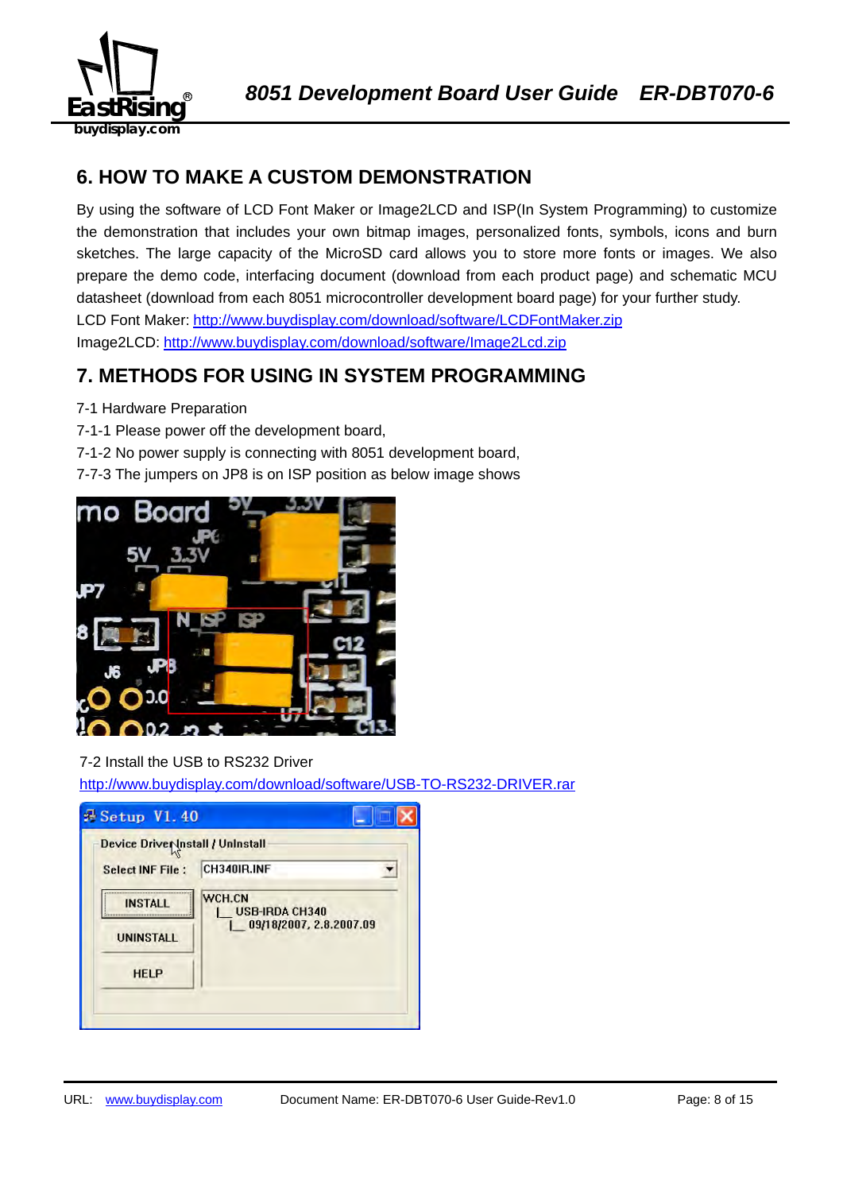

## **6. HOW TO MAKE A CUSTOM DEMONSTRATION**

By using the software of LCD Font Maker or Image2LCD and ISP(In System Programming) to customize the demonstration that includes your own bitmap images, personalized fonts, symbols, icons and burn sketches. The large capacity of the MicroSD card allows you to store more fonts or images. We also prepare the demo code, interfacing document (download from each product page) and schematic MCU datasheet (download from each 8051 microcontroller development board page) for your further study. LCD Font Maker: http://www.buydisplay.com/download/software/LCDFontMaker.zip Image2LCD: http://www.buydisplay.com/download/software/Image2Lcd.zip

## **7. METHODS FOR USING IN SYSTEM PROGRAMMING**

- 7-1 Hardware Preparation
- 7-1-1 Please power off the development board,
- 7-1-2 No power supply is connecting with 8051 development board,
- 7-7-3 The jumpers on JP8 is on ISP position as below image shows



## 7-2 Install the USB to RS232 Driver

http://www.buydisplay.com/download/software/USB-TO-RS232-DRIVER.rar

| Device Driver Install / Uninstall |                                 |
|-----------------------------------|---------------------------------|
| <b>Select INF File:</b>           | CH340IR.INF                     |
| <b>INSTALL</b>                    | WCH.CN<br><b>USB-IRDA CH340</b> |
| <b>UNINSTALL</b>                  | 09/18/2007, 2.8.2007.09         |
| <b>HELP</b>                       |                                 |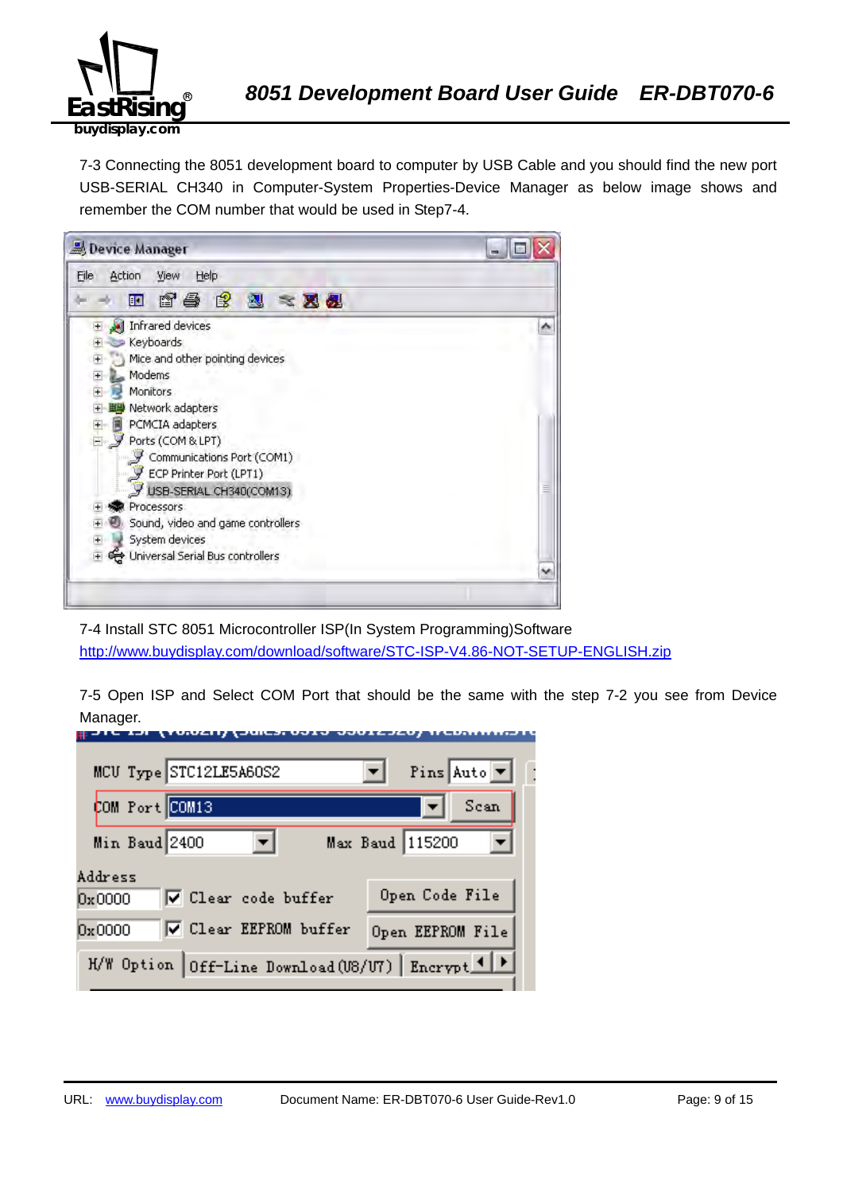

7-3 Connecting the 8051 development board to computer by USB Cable and you should find the new port USB-SERIAL CH340 in Computer-System Properties-Device Manager as below image shows and remember the COM number that would be used in Step7-4.



7-4 Install STC 8051 Microcontroller ISP(In System Programming)Software http://www.buydisplay.com/download/software/STC-ISP-V4.86-NOT-SETUP-ENGLISH.zip

7-5 Open ISP and Select COM Port that should be the same with the step 7-2 you see from Device Manager.

| MCU Type STC12LE5A60S2                            | Pins Auto $\boxed{\mathbf{v}}$ |
|---------------------------------------------------|--------------------------------|
| COM Port COM13                                    | Scan                           |
| Min Baud 2400                                     | Max Baud 115200                |
| Address<br>V Clear code buffer<br>0x0000          | Open Code File                 |
| <b>▽</b> Clear EEPROM buffer<br>0x0000            | Open EEPROM File               |
| H/W Option Off-Line Download (U8/U7) Encrypt 1  > |                                |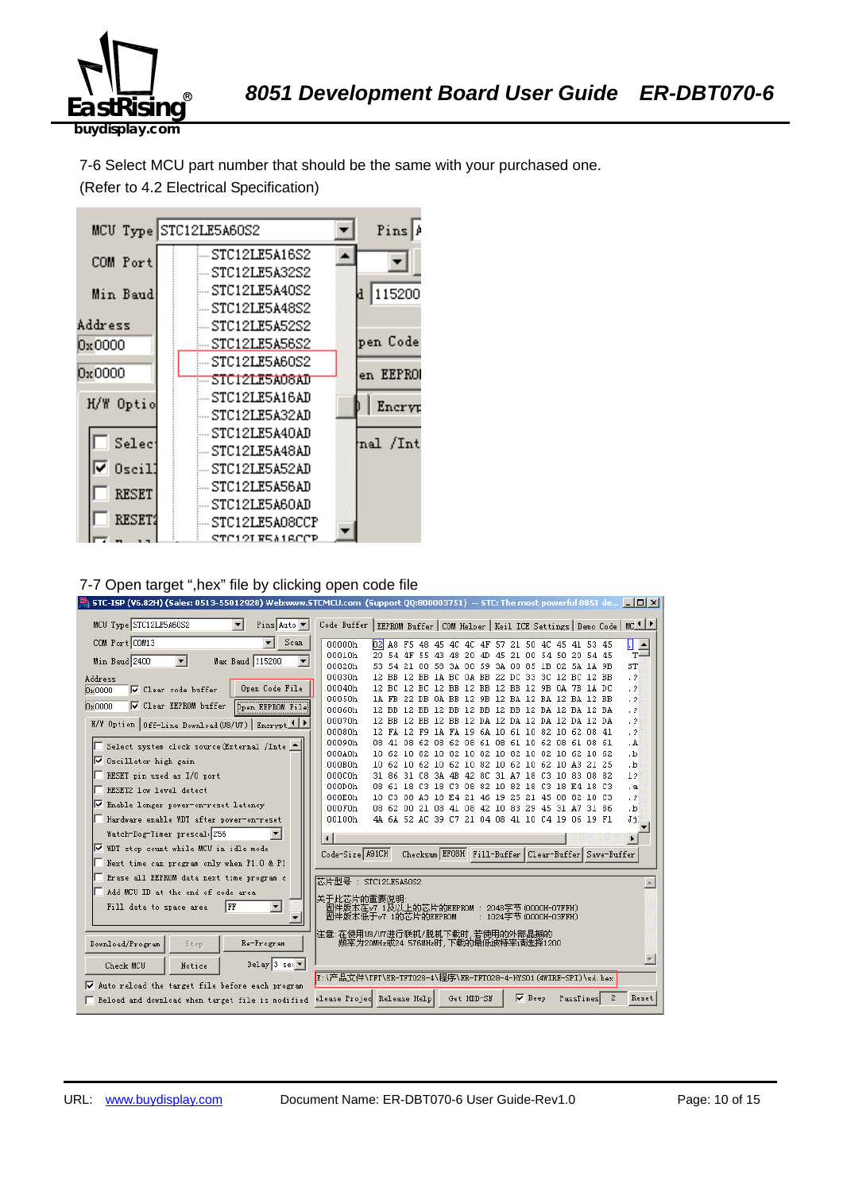

7-6 Select MCU part number that should be the same with your purchased one. (Refer to 4.2 Electrical Specification)



#### 7-7 Open target ",hex" file by clicking open code file

| STC-ISP (V6.82H) (Sales: 0513-55012928) Web:www.STCMCU.com (Support QQ:800003751) -- STC: The most powerful 8051 de $\Box$ $\Box$ X |                                                                                                |                                                                                                    |                                                     |  |            |  |                        |  |           |   |                        |
|-------------------------------------------------------------------------------------------------------------------------------------|------------------------------------------------------------------------------------------------|----------------------------------------------------------------------------------------------------|-----------------------------------------------------|--|------------|--|------------------------|--|-----------|---|------------------------|
| MCU Type STC12LE5A60S2<br>┳<br>Pins Auto $\blacktriangledown$                                                                       | Code Buffer   EEPROM Buffer   COM Helper   Keil ICE Settings   Demo Code   MC <sup>1   P</sup> |                                                                                                    |                                                     |  |            |  |                        |  |           |   |                        |
| COM Port COM13<br>Scan                                                                                                              | 00000h                                                                                         | 02 A8 F5 48 45 4C 4C 4F 57 21 50 4C 45 41 53 45                                                    |                                                     |  |            |  |                        |  |           |   | П<br>$\frac{1}{T}$     |
| Min Baud 2400<br>Max Baud 115200<br>۰                                                                                               | 00010h                                                                                         | 20 54 4F 55 43 48 20 4D 45 21 00 54 50 20 54 45                                                    |                                                     |  |            |  |                        |  |           |   |                        |
|                                                                                                                                     | 00020h                                                                                         |                                                                                                    | 53 54 21 00 58 3A 00 59 3A 00 85 1B 02 5A 1A 9B     |  |            |  |                        |  |           |   | ST                     |
| Address<br>Open Code File                                                                                                           | 00030h<br>00040h                                                                               | 12 BB 12 BB 1A BC 0A BB 22 DC 33 3C 12 BC 12 BB<br>12 BC 12 BC 12 BB 12 BB 12 BB 12 9B 0A 7B 1A DC |                                                     |  |            |  |                        |  |           |   | $\cdot$ 2<br>$\cdot$ ? |
| ☑ Clear code buffer<br>0x0000                                                                                                       | 00050h                                                                                         | 1A FB 22 DB 0A BB 12 9B 12 BA 12 BA 12 BA 12 BB                                                    |                                                     |  |            |  |                        |  |           |   | $\cdot$ 2              |
| $\nabla$ Clear EEPROM buffer<br>0x0000<br><b>Open EEPROM File</b>                                                                   | 00060h                                                                                         | 12 BB 12 BB 12 BB 12 BB 12 BB 12 BA 12 BA 12 BA                                                    |                                                     |  |            |  |                        |  |           |   | $\cdot$ ?              |
| H/W Option Off-Line Download (U8/U7) Encrypt                                                                                        | 00070h                                                                                         | 12 BB 12 BB 12 BB 12 DA 12 DA 12 DA 12 DA 12 DA                                                    |                                                     |  |            |  |                        |  |           |   | $\cdot$ ?              |
|                                                                                                                                     | 00080h                                                                                         | 12 FA 12 F9 1A FA 19 6A 10 61 10 82 10 62 08 41                                                    |                                                     |  |            |  |                        |  |           |   | $\cdot$ ?              |
| Select system clock source (External /Inte _                                                                                        | 00090h                                                                                         | 08 41 08 62 08 62 08 61 08 61 10 62 08 61 08 61                                                    |                                                     |  |            |  |                        |  |           |   | . A                    |
| ☑ Oscillator high gain                                                                                                              | 000A0h                                                                                         | 10 62 10 82 10 82 10 82 10 82 10 82 10 62 10 62                                                    |                                                     |  |            |  |                        |  |           |   | ۰b.                    |
|                                                                                                                                     | 000B0h<br>000C0h                                                                               | 10 62 10 62 10 62 10 82 10 62 10 62 10 A3 21 25                                                    |                                                     |  |            |  |                        |  |           |   | $\cdot$ <sub>b</sub>   |
| RESET pin used as I/O port                                                                                                          | 000D0h                                                                                         | 31 86 31 C8 3A 4B 42 8C 31 A7 18 C3 10 83 08 82<br>08 61 18 C3 18 C3 08 82 10 82 18 C3 18 E4 18 C3 |                                                     |  |            |  |                        |  |           |   | 12<br>$\cdot$ a        |
| RESET2 low level detect                                                                                                             | 000E0h                                                                                         | 10 C3 08 A3 18 E4 21 46 19 25 21 45 08 82 10 C3                                                    |                                                     |  |            |  |                        |  |           |   | $\cdot$ ?              |
| V Enable longer power-on-reset latency                                                                                              | 000F0h                                                                                         | 08 62 00 21 08 41 08 42 10 83 29 45 31 A7 31 86                                                    |                                                     |  |            |  |                        |  |           |   | ۰b.                    |
| Hardware enable WDT after power-on-reset                                                                                            | 00100h                                                                                         |                                                                                                    | 4A 6A 52 AC 39 C7 21 04 08 41 10 C4 19 06 19 F1     |  |            |  |                        |  |           |   | Jj.                    |
| Watch-Dog-Timer prescal 256                                                                                                         |                                                                                                |                                                                                                    |                                                     |  |            |  |                        |  |           |   |                        |
| Ⅳ WDT stop count while MCU in idle mode                                                                                             |                                                                                                |                                                                                                    |                                                     |  |            |  |                        |  |           |   |                        |
| Next time can program only when P1.0 & P1                                                                                           | Code-Size A91CH                                                                                |                                                                                                    | Checksum EFOBH Fill-Buffer Clear-Buffer Save-Buffer |  |            |  |                        |  |           |   |                        |
| Erase all EEPROM data next time program c                                                                                           | 芯片型号: STC12LE5A60S2                                                                            |                                                                                                    |                                                     |  |            |  |                        |  |           |   |                        |
| Add MCU ID at the end of code area                                                                                                  |                                                                                                |                                                                                                    |                                                     |  |            |  |                        |  |           |   |                        |
| $\blacktriangledown$<br>Iff<br>Fill data to space area                                                                              | 关于此芯片的重要说明<br>固件版本在v7.1及以上的芯片的EEPROM : 2048字节(0000H-07FFH)<br>固件版本低于v7.1的芯片的EEPROM             |                                                                                                    |                                                     |  |            |  | : 1024字节 (0000H-03FFH) |  |           |   |                        |
|                                                                                                                                     | 注意:在使用U8/U7进行联机/脱机下载时,若使用的外部晶振的                                                                |                                                                                                    |                                                     |  |            |  |                        |  |           |   |                        |
| Re-Program<br>Download/Program<br>Stop                                                                                              | 频率为20MHz或24.576MHz时,下载的最低波特率请选择1200                                                            |                                                                                                    |                                                     |  |            |  |                        |  |           |   |                        |
| Delay 3 sec $\blacktriangledown$<br>Check MCU<br>Notice                                                                             |                                                                                                |                                                                                                    |                                                     |  |            |  |                        |  |           |   |                        |
| E:\产品文件\TFT\ER-TFT028-4\程序\ER-TFT028-4-HYS01(4WIRE-SPI)\sd.hex<br>Auto reload the target file before each program<br>⊽              |                                                                                                |                                                                                                    |                                                     |  |            |  |                        |  |           |   |                        |
| Reload and download when target file is modified                                                                                    | elease Projec Release Help                                                                     |                                                                                                    |                                                     |  | Get HDD-SN |  | <b>▽</b> Beep          |  | PassTimes | 2 | Reset                  |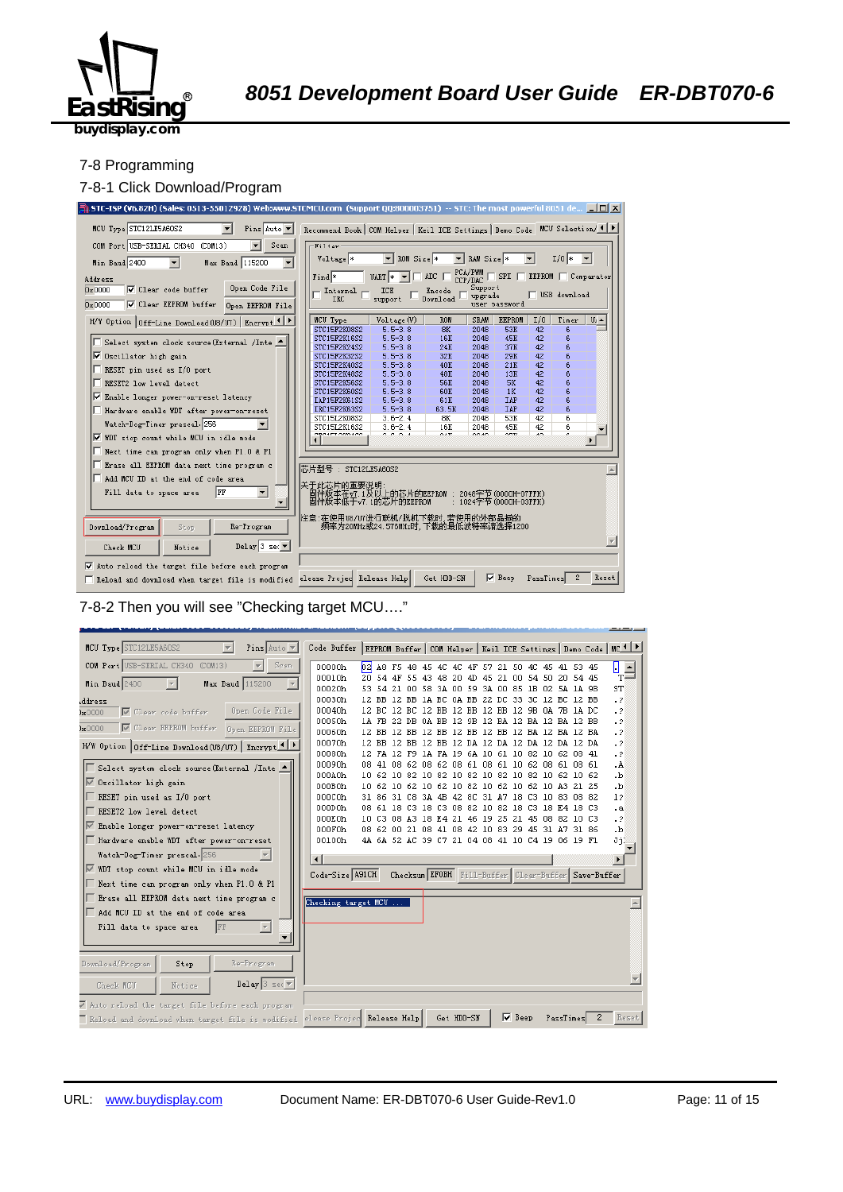

#### 7-8 Programming

#### 7-8-1 Click Download/Program



7-8-2 Then you will see "Checking target MCU…."

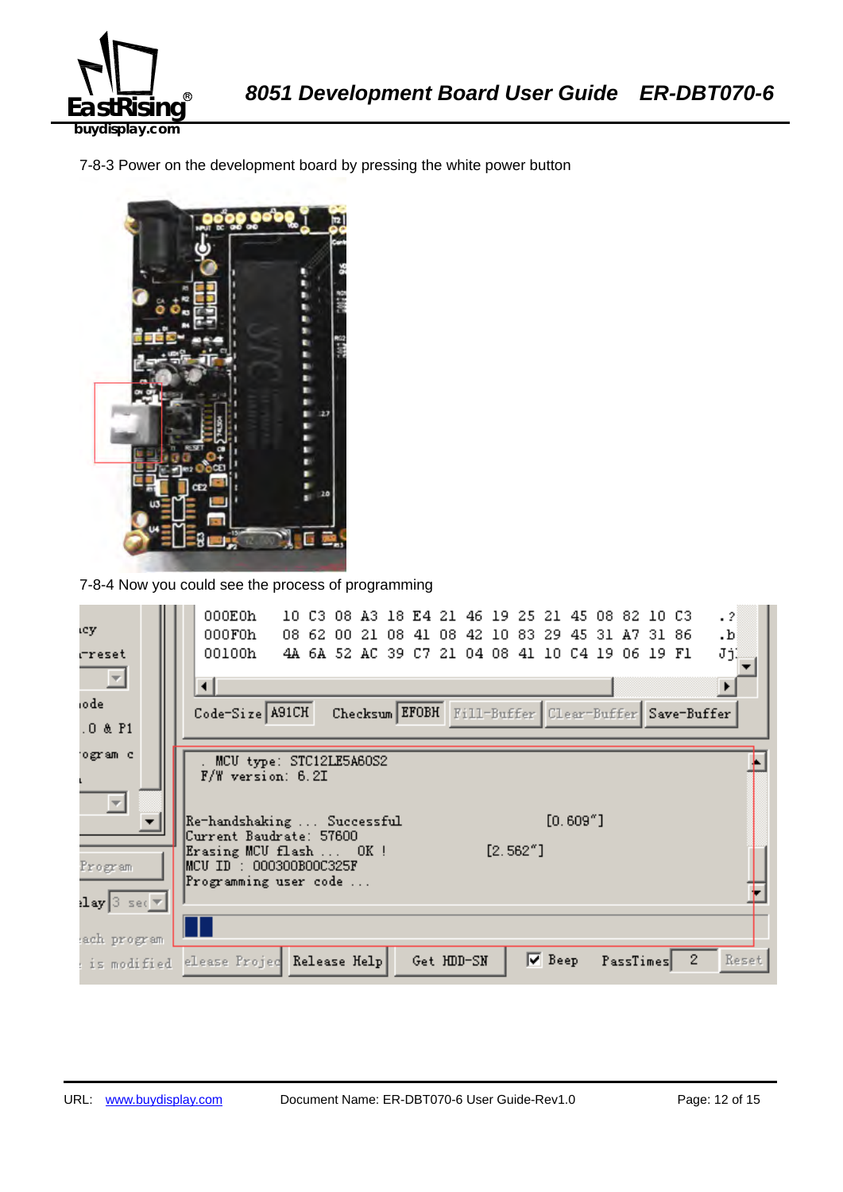

7-8-3 Power on the development board by pressing the white power button



7-8-4 Now you could see the process of programming

| icy.                                                                          | 000E0h<br>$\cdot$ 2<br>10 C3 08 A3 18 E4 21 46 19 25 21 45 08 82 10 C3<br>000F0h<br>08 62 00 21 08 41 08 42 10 83 29 45 31 A7 31 86<br>.b<br>00100h |
|-------------------------------------------------------------------------------|-----------------------------------------------------------------------------------------------------------------------------------------------------|
| rreset<br>×<br>iode                                                           | JjĮ<br>4A 6A 52 AC 39 C7 21 04 08 41 10 C4 19 06 19 F1<br>⊣<br>Code-Size A91CH<br>Checksum EFOBH Fill-Buffer Clear-Buffer Save-Buffer               |
| $.0$ & $P1$                                                                   |                                                                                                                                                     |
| ogram c<br>$\overline{\phantom{m}}$                                           | MCU type: STC12LE5A60S2<br>F/W version: 6.2I                                                                                                        |
|                                                                               | $[0.609"$ ]<br>Re-handshaking  Successful<br>Current Baudrate: 57600<br>$[2.562"$ ]<br>Erasing MCU flash  OK!                                       |
| Program                                                                       | MCU ID : 000300B00C325F<br>Programming user code                                                                                                    |
| $\left\lceil \log  3  \right\rceil$ sec $\left\lceil \sqrt{\pi} \right\rceil$ |                                                                                                                                                     |
| ach program<br>: is modified                                                  | $2^{\circ}$<br>$\nabla$ Beep<br>Reset<br>elease Projec Release Help<br>PassTimes<br>Get HDD-SN                                                      |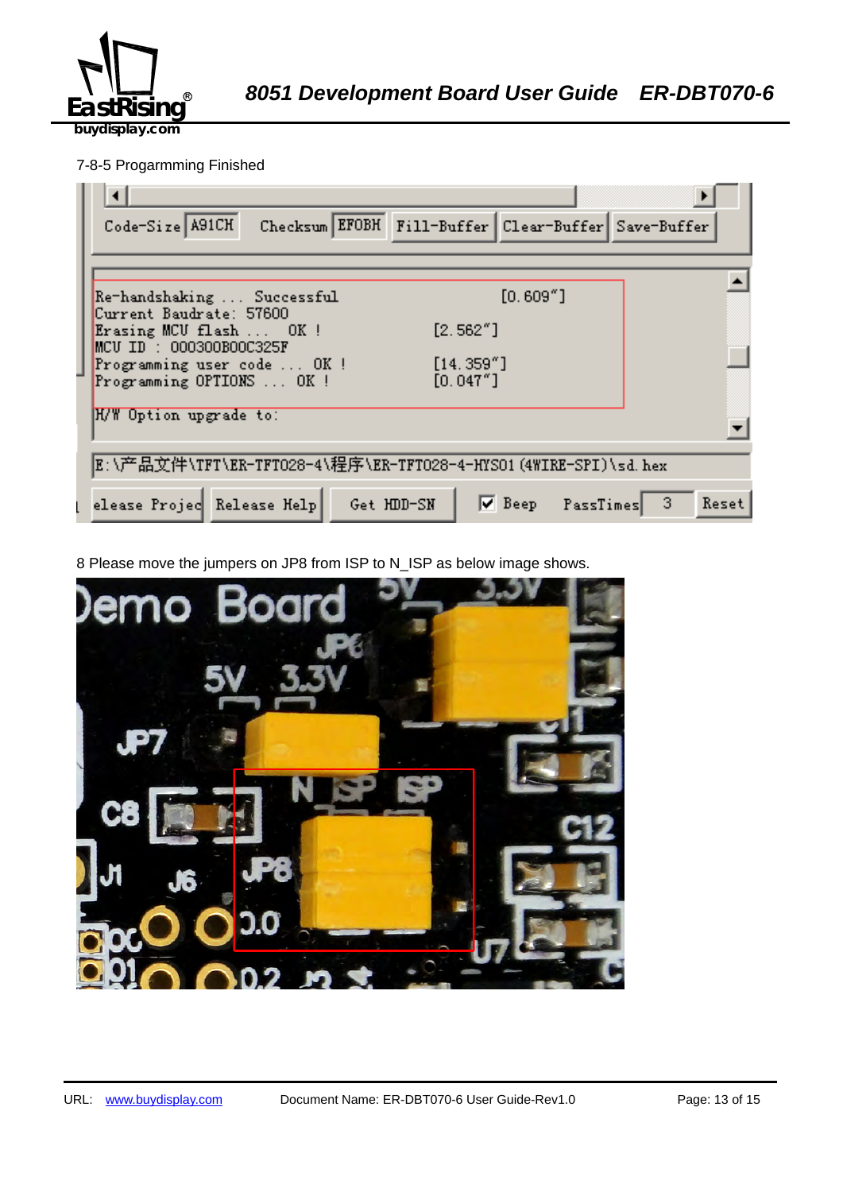

## 7-8-5 Progarmming Finished

| Checksum EFOBH Fill-Buffer Clear-Buffer Save-Buffer<br>Code-Size A91CH            |
|-----------------------------------------------------------------------------------|
|                                                                                   |
| $[0.609"$ ]<br>Re-handshaking  Successful<br>Current Baudrate: 57600              |
| [2.562"]<br>Erasing MCU flash  OK !<br>$MCU$ ID : 000300B00C325F                  |
| [14.359'']<br>Programming user code  OK!<br>[0.047"]<br>Programming OPTIONS  OK ! |
| H/W Option upgrade to:                                                            |
| E:\产品文件\TFT\ER-TFTO28-4\程序\ER-TFTO28-4-HYSO1(4WIRE-SPI)\sd.hex                    |
| Deep PassTimes<br>elease Projec Release Help Get HDD-SN<br>- 3<br>Reset           |

8 Please move the jumpers on JP8 from ISP to N\_ISP as below image shows.

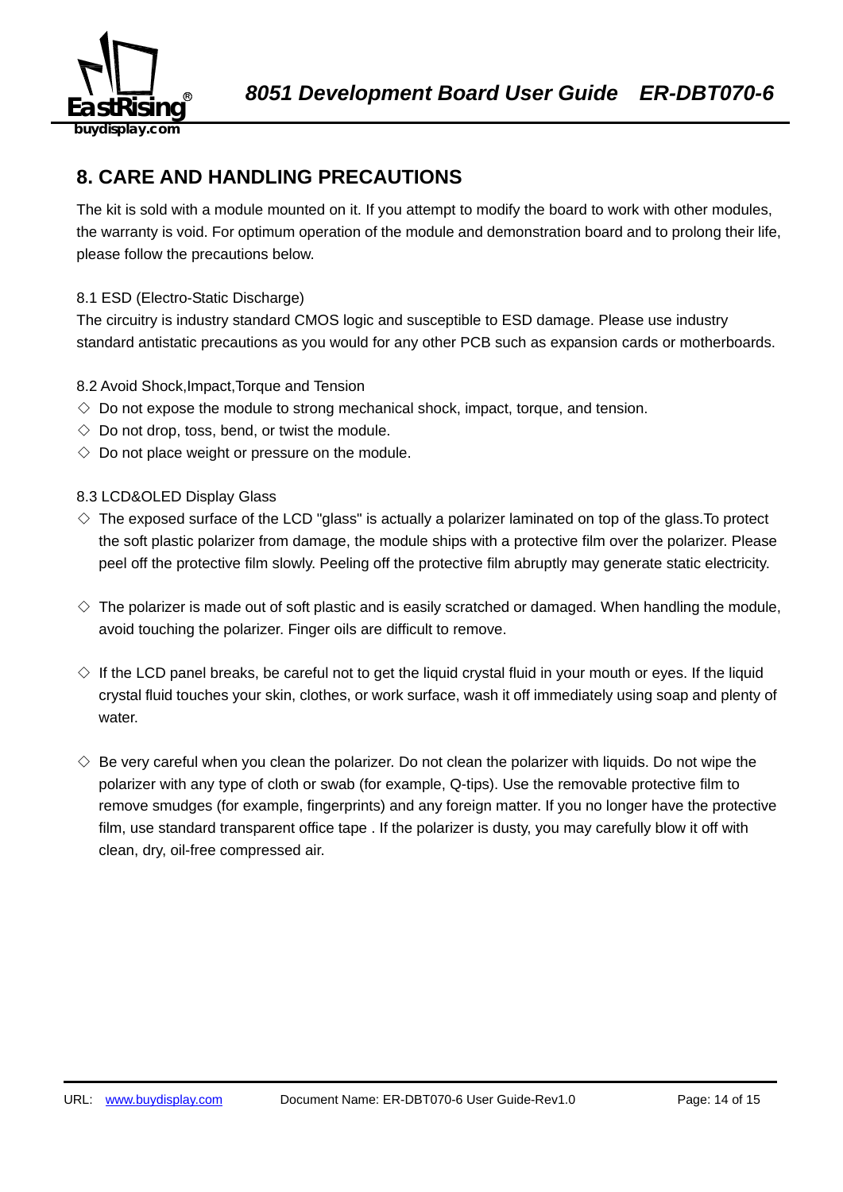

## **8. CARE AND HANDLING PRECAUTIONS**

The kit is sold with a module mounted on it. If you attempt to modify the board to work with other modules, the warranty is void. For optimum operation of the module and demonstration board and to prolong their life, please follow the precautions below.

## 8.1 ESD (Electro-Static Discharge)

The circuitry is industry standard CMOS logic and susceptible to ESD damage. Please use industry standard antistatic precautions as you would for any other PCB such as expansion cards or motherboards.

## 8.2 Avoid Shock,Impact,Torque and Tension

- $\Diamond$  Do not expose the module to strong mechanical shock, impact, torque, and tension.
- $\Diamond$  Do not drop, toss, bend, or twist the module.
- $\Diamond$  Do not place weight or pressure on the module.

## 8.3 LCD&OLED Display Glass

- $\diamond$  The exposed surface of the LCD "glass" is actually a polarizer laminated on top of the glass. To protect the soft plastic polarizer from damage, the module ships with a protective film over the polarizer. Please peel off the protective film slowly. Peeling off the protective film abruptly may generate static electricity.
- $\diamond$  The polarizer is made out of soft plastic and is easily scratched or damaged. When handling the module, avoid touching the polarizer. Finger oils are difficult to remove.
- $\Diamond$  If the LCD panel breaks, be careful not to get the liquid crystal fluid in your mouth or eyes. If the liquid crystal fluid touches your skin, clothes, or work surface, wash it off immediately using soap and plenty of water.
- $\diamondsuit$  Be very careful when you clean the polarizer. Do not clean the polarizer with liquids. Do not wipe the polarizer with any type of cloth or swab (for example, Q-tips). Use the removable protective film to remove smudges (for example, fingerprints) and any foreign matter. If you no longer have the protective film, use standard transparent office tape . If the polarizer is dusty, you may carefully blow it off with clean, dry, oil-free compressed air.